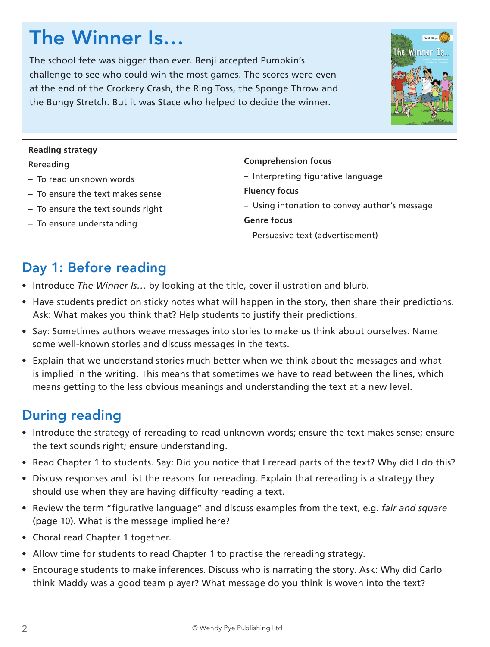# The Winner Is…

The school fete was bigger than ever. Benji accepted Pumpkin's challenge to see who could win the most games. The scores were even at the end of the Crockery Crash, the Ring Toss, the Sponge Throw and the Bungy Stretch. But it was Stace who helped to decide the winner.



| <b>Reading strategy</b>           |                                               |  |
|-----------------------------------|-----------------------------------------------|--|
| Rereading                         | <b>Comprehension focus</b>                    |  |
| - To read unknown words           | - Interpreting figurative language            |  |
| - To ensure the text makes sense  | <b>Fluency focus</b>                          |  |
| - To ensure the text sounds right | - Using intonation to convey author's message |  |
| - To ensure understanding         | <b>Genre focus</b>                            |  |
|                                   | - Persuasive text (advertisement)             |  |
|                                   |                                               |  |

# Day 1: Before reading

- Introduce *The Winner Is…* by looking at the title, cover illustration and blurb.
- Have students predict on sticky notes what will happen in the story, then share their predictions. Ask: What makes you think that? Help students to justify their predictions.
- Say: Sometimes authors weave messages into stories to make us think about ourselves. Name some well-known stories and discuss messages in the texts.
- Explain that we understand stories much better when we think about the messages and what is implied in the writing. This means that sometimes we have to read between the lines, which means getting to the less obvious meanings and understanding the text at a new level.

# During reading

- Introduce the strategy of rereading to read unknown words; ensure the text makes sense; ensure the text sounds right; ensure understanding.
- Read Chapter 1 to students. Say: Did you notice that I reread parts of the text? Why did I do this?
- Discuss responses and list the reasons for rereading. Explain that rereading is a strategy they should use when they are having difficulty reading a text.
- Review the term "figurative language" and discuss examples from the text, e.g. *fair and square* (page 10). What is the message implied here?
- Choral read Chapter 1 together.
- Allow time for students to read Chapter 1 to practise the rereading strategy.
- Encourage students to make inferences. Discuss who is narrating the story. Ask: Why did Carlo think Maddy was a good team player? What message do you think is woven into the text?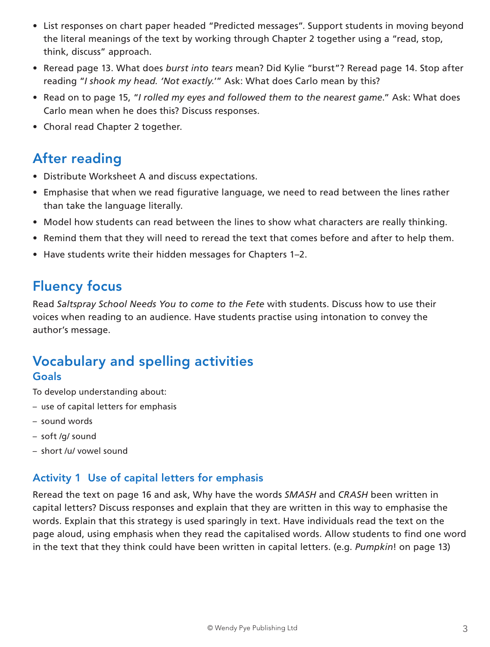- List responses on chart paper headed "Predicted messages". Support students in moving beyond the literal meanings of the text by working through Chapter 2 together using a "read, stop, think, discuss" approach.
- Reread page 13. What does *burst into tears* mean? Did Kylie "burst"? Reread page 14. Stop after reading "*I shook my head. 'Not exactly.*'" Ask: What does Carlo mean by this?
- Read on to page 15, "*I rolled my eyes and followed them to the nearest game*." Ask: What does Carlo mean when he does this? Discuss responses.
- Choral read Chapter 2 together.

### After reading

- Distribute Worksheet A and discuss expectations.
- Emphasise that when we read figurative language, we need to read between the lines rather than take the language literally.
- Model how students can read between the lines to show what characters are really thinking.
- Remind them that they will need to reread the text that comes before and after to help them.
- Have students write their hidden messages for Chapters 1–2.

### Fluency focus

Read *Saltspray School Needs You to come to the Fete* with students. Discuss how to use their voices when reading to an audience. Have students practise using intonation to convey the author's message.

### Vocabulary and spelling activities Goals

To develop understanding about:

- use of capital letters for emphasis
- sound words
- soft /g/ sound
- short /u/ vowel sound

#### Activity 1 Use of capital letters for emphasis

Reread the text on page 16 and ask, Why have the words *SMASH* and *CRASH* been written in capital letters? Discuss responses and explain that they are written in this way to emphasise the words. Explain that this strategy is used sparingly in text. Have individuals read the text on the page aloud, using emphasis when they read the capitalised words. Allow students to find one word in the text that they think could have been written in capital letters. (e.g. *Pumpkin*! on page 13)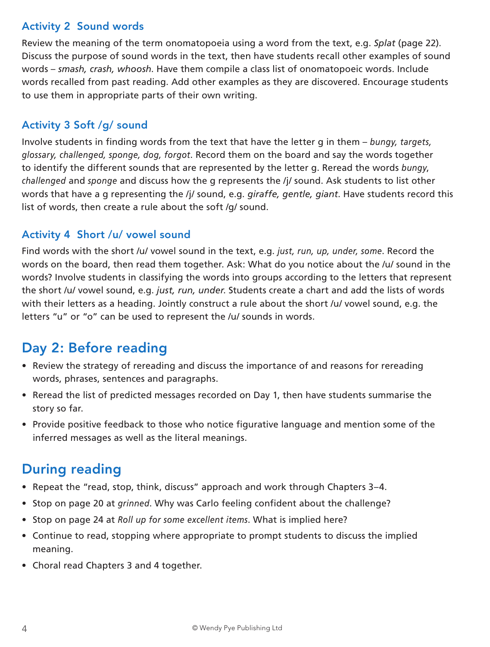### Activity 2 Sound words

Review the meaning of the term onomatopoeia using a word from the text, e.g. *Splat* (page 22). Discuss the purpose of sound words in the text, then have students recall other examples of sound words – *smash, crash, whoosh*. Have them compile a class list of onomatopoeic words. Include words recalled from past reading. Add other examples as they are discovered. Encourage students to use them in appropriate parts of their own writing.

### Activity 3 Soft /g/ sound

Involve students in finding words from the text that have the letter g in them – *bungy, targets, glossary, challenged, sponge, dog, forgot*. Record them on the board and say the words together to identify the different sounds that are represented by the letter g. Reread the words *bungy*, *challenged* and *sponge* and discuss how the g represents the /j/ sound. Ask students to list other words that have a g representing the /j/ sound, e.g. *giraffe, gentle, giant*. Have students record this list of words, then create a rule about the soft /g/ sound.

### Activity 4 Short /u/ vowel sound

Find words with the short /u/ vowel sound in the text, e.g. *just, run, up, under, some*. Record the words on the board, then read them together. Ask: What do you notice about the /u/ sound in the words? Involve students in classifying the words into groups according to the letters that represent the short /u/ vowel sound, e.g. *just, run, under*. Students create a chart and add the lists of words with their letters as a heading. Jointly construct a rule about the short /u/ vowel sound, e.g. the letters "u" or "o" can be used to represent the /u/ sounds in words.

# Day 2: Before reading

- Review the strategy of rereading and discuss the importance of and reasons for rereading words, phrases, sentences and paragraphs.
- Reread the list of predicted messages recorded on Day 1, then have students summarise the story so far.
- Provide positive feedback to those who notice figurative language and mention some of the inferred messages as well as the literal meanings.

### During reading

- Repeat the "read, stop, think, discuss" approach and work through Chapters 3–4.
- Stop on page 20 at *grinned*. Why was Carlo feeling confident about the challenge?
- Stop on page 24 at *Roll up for some excellent items*. What is implied here?
- Continue to read, stopping where appropriate to prompt students to discuss the implied meaning.
- Choral read Chapters 3 and 4 together.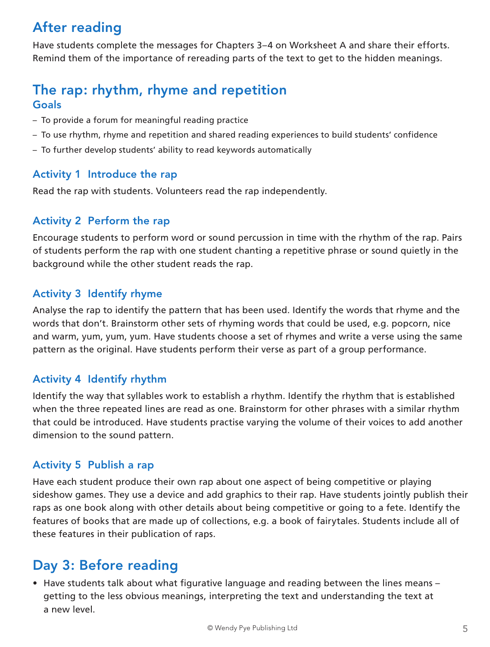# After reading

Have students complete the messages for Chapters 3–4 on Worksheet A and share their efforts. Remind them of the importance of rereading parts of the text to get to the hidden meanings.

### The rap: rhythm, rhyme and repetition Goals

- To provide a forum for meaningful reading practice
- To use rhythm, rhyme and repetition and shared reading experiences to build students' confidence
- To further develop students' ability to read keywords automatically

#### Activity 1 Introduce the rap

Read the rap with students. Volunteers read the rap independently.

#### Activity 2 Perform the rap

Encourage students to perform word or sound percussion in time with the rhythm of the rap. Pairs of students perform the rap with one student chanting a repetitive phrase or sound quietly in the background while the other student reads the rap.

#### Activity 3 Identify rhyme

Analyse the rap to identify the pattern that has been used. Identify the words that rhyme and the words that don't. Brainstorm other sets of rhyming words that could be used, e.g. popcorn, nice and warm, yum, yum, yum. Have students choose a set of rhymes and write a verse using the same pattern as the original. Have students perform their verse as part of a group performance.

#### Activity 4 Identify rhythm

Identify the way that syllables work to establish a rhythm. Identify the rhythm that is established when the three repeated lines are read as one. Brainstorm for other phrases with a similar rhythm that could be introduced. Have students practise varying the volume of their voices to add another dimension to the sound pattern.

#### Activity 5 Publish a rap

Have each student produce their own rap about one aspect of being competitive or playing sideshow games. They use a device and add graphics to their rap. Have students jointly publish their raps as one book along with other details about being competitive or going to a fete. Identify the features of books that are made up of collections, e.g. a book of fairytales. Students include all of these features in their publication of raps.

### Day 3: Before reading

• Have students talk about what figurative language and reading between the lines means – getting to the less obvious meanings, interpreting the text and understanding the text at a new level.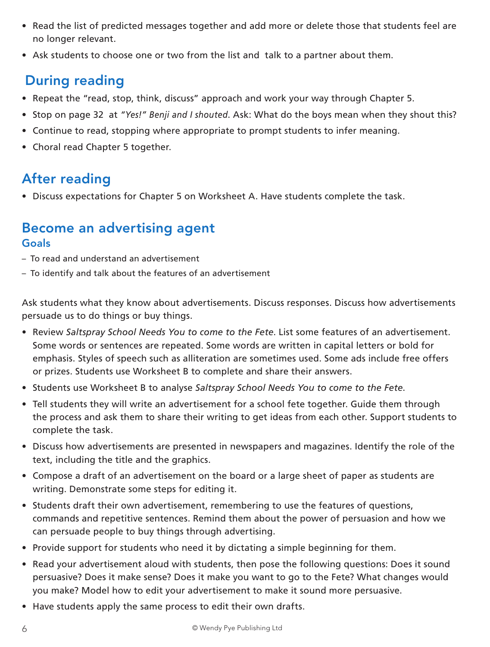- Read the list of predicted messages together and add more or delete those that students feel are no longer relevant.
- Ask students to choose one or two from the list and talk to a partner about them.

## During reading

- Repeat the "read, stop, think, discuss" approach and work your way through Chapter 5.
- Stop on page 32 at *"Yes!" Benji and I shouted*. Ask: What do the boys mean when they shout this?
- Continue to read, stopping where appropriate to prompt students to infer meaning.
- Choral read Chapter 5 together.

### After reading

• Discuss expectations for Chapter 5 on Worksheet A. Have students complete the task.

### Become an advertising agent Goals

- To read and understand an advertisement
- To identify and talk about the features of an advertisement

Ask students what they know about advertisements. Discuss responses. Discuss how advertisements persuade us to do things or buy things.

- Review *Saltspray School Needs You to come to the Fete*. List some features of an advertisement. Some words or sentences are repeated. Some words are written in capital letters or bold for emphasis. Styles of speech such as alliteration are sometimes used. Some ads include free offers or prizes. Students use Worksheet B to complete and share their answers.
- Students use Worksheet B to analyse *Saltspray School Needs You to come to the Fete*.
- Tell students they will write an advertisement for a school fete together. Guide them through the process and ask them to share their writing to get ideas from each other. Support students to complete the task.
- Discuss how advertisements are presented in newspapers and magazines. Identify the role of the text, including the title and the graphics.
- Compose a draft of an advertisement on the board or a large sheet of paper as students are writing. Demonstrate some steps for editing it.
- Students draft their own advertisement, remembering to use the features of questions, commands and repetitive sentences. Remind them about the power of persuasion and how we can persuade people to buy things through advertising.
- Provide support for students who need it by dictating a simple beginning for them.
- Read your advertisement aloud with students, then pose the following questions: Does it sound persuasive? Does it make sense? Does it make you want to go to the Fete? What changes would you make? Model how to edit your advertisement to make it sound more persuasive.
- Have students apply the same process to edit their own drafts.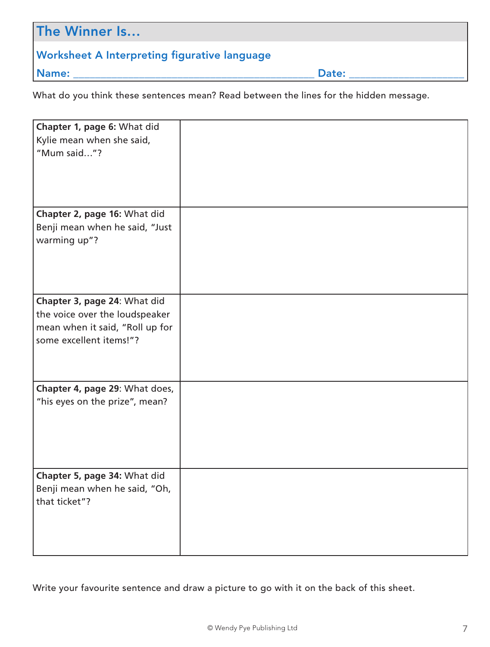| The Winner Is                                |       |
|----------------------------------------------|-------|
| Worksheet A Interpreting figurative language |       |
| Name:                                        | Date: |

What do you think these sentences mean? Read between the lines for the hidden message.

| Chapter 1, page 6: What did     |  |
|---------------------------------|--|
| Kylie mean when she said,       |  |
| "Mum said"?                     |  |
|                                 |  |
|                                 |  |
|                                 |  |
|                                 |  |
| Chapter 2, page 16: What did    |  |
| Benji mean when he said, "Just  |  |
| warming up"?                    |  |
|                                 |  |
|                                 |  |
|                                 |  |
| Chapter 3, page 24: What did    |  |
| the voice over the loudspeaker  |  |
| mean when it said, "Roll up for |  |
| some excellent items!"?         |  |
|                                 |  |
|                                 |  |
|                                 |  |
| Chapter 4, page 29: What does,  |  |
| "his eyes on the prize", mean?  |  |
|                                 |  |
|                                 |  |
|                                 |  |
|                                 |  |
|                                 |  |
| Chapter 5, page 34: What did    |  |
| Benji mean when he said, "Oh,   |  |
| that ticket"?                   |  |
|                                 |  |
|                                 |  |
|                                 |  |
|                                 |  |

Write your favourite sentence and draw a picture to go with it on the back of this sheet.